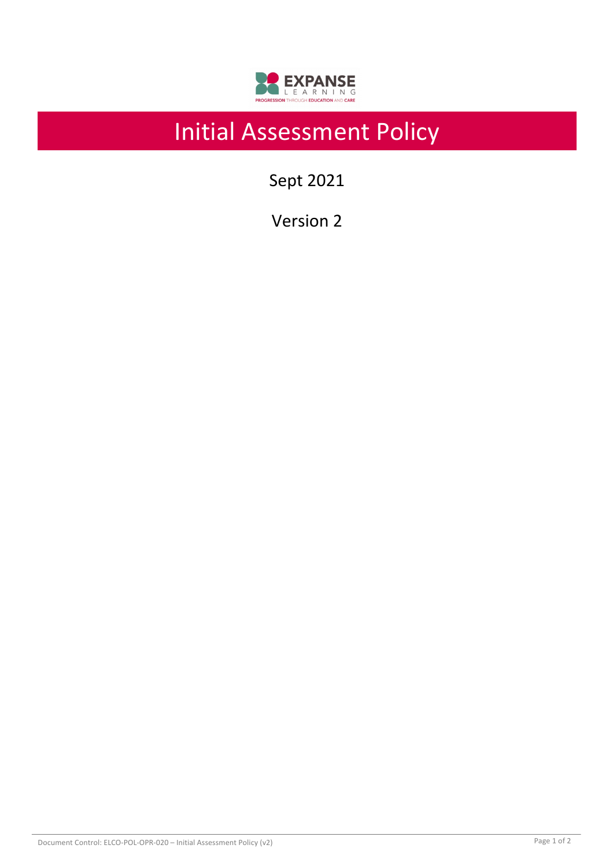

# Initial Assessment Policy

Sept 2021

Version 2